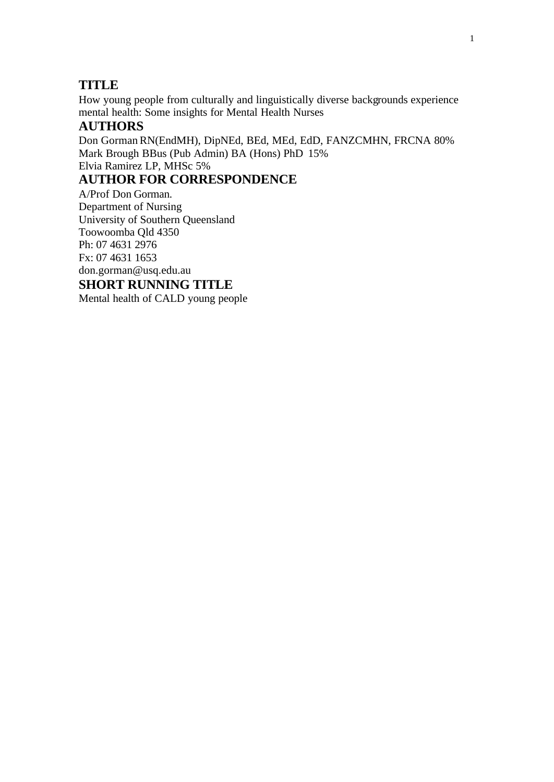# **TITLE**

How young people from culturally and linguistically diverse backgrounds experience mental health: Some insights for Mental Health Nurses

# **AUTHORS**

Don Gorman RN(EndMH), DipNEd, BEd, MEd, EdD, FANZCMHN, FRCNA 80% Mark Brough BBus (Pub Admin) BA (Hons) PhD 15% Elvia Ramirez LP, MHSc 5% **AUTHOR FOR CORRESPONDENCE**

A/Prof Don Gorman. Department of Nursing University of Southern Queensland Toowoomba Qld 4350 Ph: 07 4631 2976 Fx: 07 4631 1653 don.gorman@usq.edu.au

**SHORT RUNNING TITLE**

Mental health of CALD young people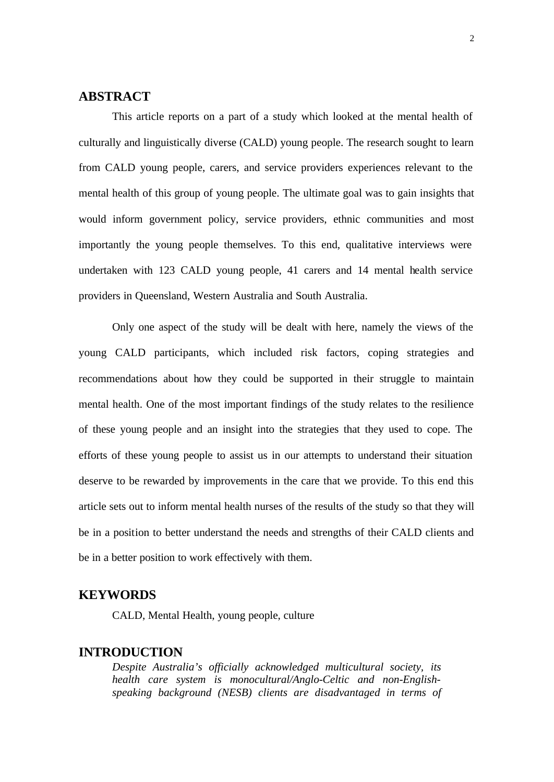# **ABSTRACT**

This article reports on a part of a study which looked at the mental health of culturally and linguistically diverse (CALD) young people. The research sought to learn from CALD young people, carers, and service providers experiences relevant to the mental health of this group of young people. The ultimate goal was to gain insights that would inform government policy, service providers, ethnic communities and most importantly the young people themselves. To this end, qualitative interviews were undertaken with 123 CALD young people, 41 carers and 14 mental health service providers in Queensland, Western Australia and South Australia.

Only one aspect of the study will be dealt with here, namely the views of the young CALD participants, which included risk factors, coping strategies and recommendations about how they could be supported in their struggle to maintain mental health. One of the most important findings of the study relates to the resilience of these young people and an insight into the strategies that they used to cope. The efforts of these young people to assist us in our attempts to understand their situation deserve to be rewarded by improvements in the care that we provide. To this end this article sets out to inform mental health nurses of the results of the study so that they will be in a position to better understand the needs and strengths of their CALD clients and be in a better position to work effectively with them.

# **KEYWORDS**

CALD, Mental Health, young people, culture

### **INTRODUCTION**

*Despite Australia's officially acknowledged multicultural society, its health care system is monocultural/Anglo-Celtic and non-Englishspeaking background (NESB) clients are disadvantaged in terms of*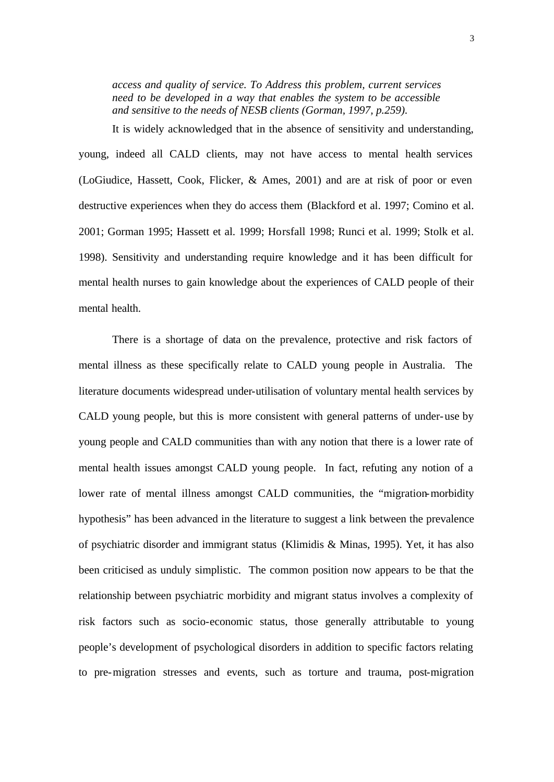*access and quality of service. To Address this problem, current services need to be developed in a way that enables the system to be accessible and sensitive to the needs of NESB clients (Gorman, 1997, p.259).*

It is widely acknowledged that in the absence of sensitivity and understanding, young, indeed all CALD clients, may not have access to mental health services (LoGiudice, Hassett, Cook, Flicker, & Ames, 2001) and are at risk of poor or even destructive experiences when they do access them (Blackford et al. 1997; Comino et al. 2001; Gorman 1995; Hassett et al. 1999; Horsfall 1998; Runci et al. 1999; Stolk et al. 1998). Sensitivity and understanding require knowledge and it has been difficult for mental health nurses to gain knowledge about the experiences of CALD people of their mental health.

There is a shortage of data on the prevalence, protective and risk factors of mental illness as these specifically relate to CALD young people in Australia. The literature documents widespread under-utilisation of voluntary mental health services by CALD young people, but this is more consistent with general patterns of under-use by young people and CALD communities than with any notion that there is a lower rate of mental health issues amongst CALD young people. In fact, refuting any notion of a lower rate of mental illness amongst CALD communities, the "migration-morbidity hypothesis" has been advanced in the literature to suggest a link between the prevalence of psychiatric disorder and immigrant status (Klimidis & Minas, 1995). Yet, it has also been criticised as unduly simplistic. The common position now appears to be that the relationship between psychiatric morbidity and migrant status involves a complexity of risk factors such as socio-economic status, those generally attributable to young people's development of psychological disorders in addition to specific factors relating to pre-migration stresses and events, such as torture and trauma, post-migration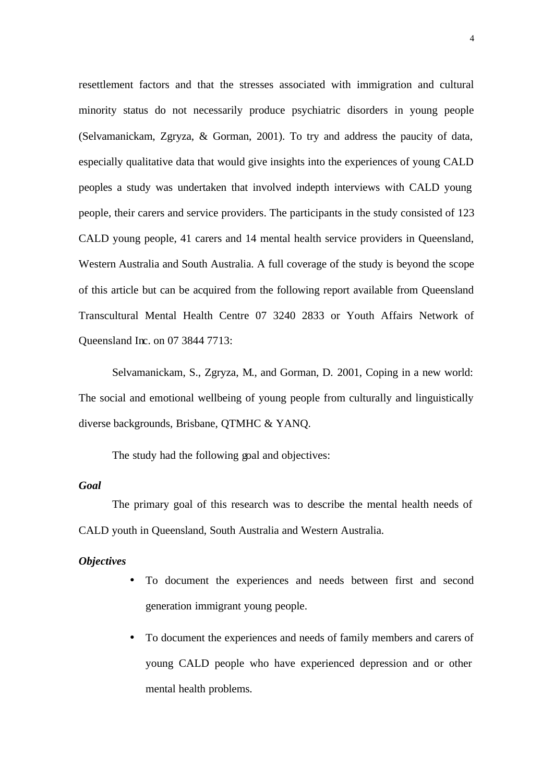resettlement factors and that the stresses associated with immigration and cultural minority status do not necessarily produce psychiatric disorders in young people (Selvamanickam, Zgryza, & Gorman, 2001). To try and address the paucity of data, especially qualitative data that would give insights into the experiences of young CALD peoples a study was undertaken that involved indepth interviews with CALD young people, their carers and service providers. The participants in the study consisted of 123 CALD young people, 41 carers and 14 mental health service providers in Queensland, Western Australia and South Australia. A full coverage of the study is beyond the scope of this article but can be acquired from the following report available from Queensland Transcultural Mental Health Centre 07 3240 2833 or Youth Affairs Network of Queensland Inc. on 07 3844 7713:

Selvamanickam, S., Zgryza, M., and Gorman, D. 2001, Coping in a new world: The social and emotional wellbeing of young people from culturally and linguistically diverse backgrounds, Brisbane, QTMHC & YANQ.

The study had the following goal and objectives:

## *Goal*

The primary goal of this research was to describe the mental health needs of CALD youth in Queensland, South Australia and Western Australia.

#### *Objectives*

- To document the experiences and needs between first and second generation immigrant young people.
- To document the experiences and needs of family members and carers of young CALD people who have experienced depression and or other mental health problems.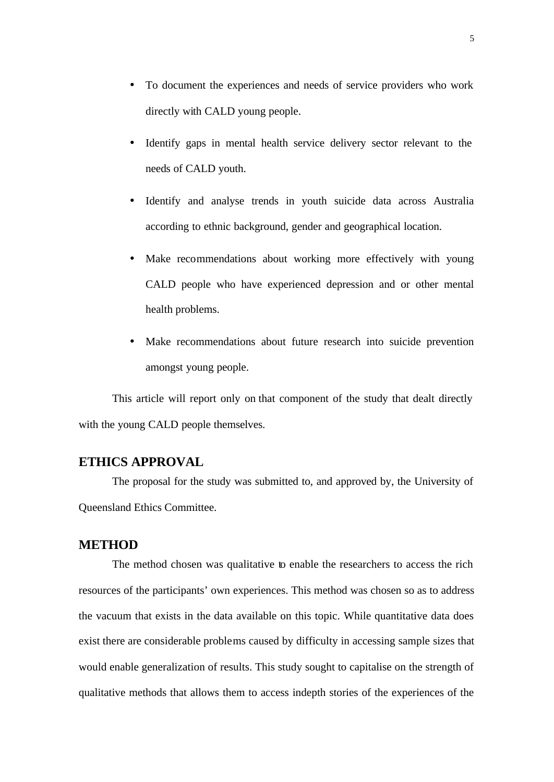- To document the experiences and needs of service providers who work directly with CALD young people.
- Identify gaps in mental health service delivery sector relevant to the needs of CALD youth.
- Identify and analyse trends in youth suicide data across Australia according to ethnic background, gender and geographical location.
- Make recommendations about working more effectively with young CALD people who have experienced depression and or other mental health problems.
- Make recommendations about future research into suicide prevention amongst young people.

This article will report only on that component of the study that dealt directly with the young CALD people themselves.

# **ETHICS APPROVAL**

The proposal for the study was submitted to, and approved by, the University of Queensland Ethics Committee.

# **METHOD**

The method chosen was qualitative to enable the researchers to access the rich resources of the participants' own experiences. This method was chosen so as to address the vacuum that exists in the data available on this topic. While quantitative data does exist there are considerable problems caused by difficulty in accessing sample sizes that would enable generalization of results. This study sought to capitalise on the strength of qualitative methods that allows them to access indepth stories of the experiences of the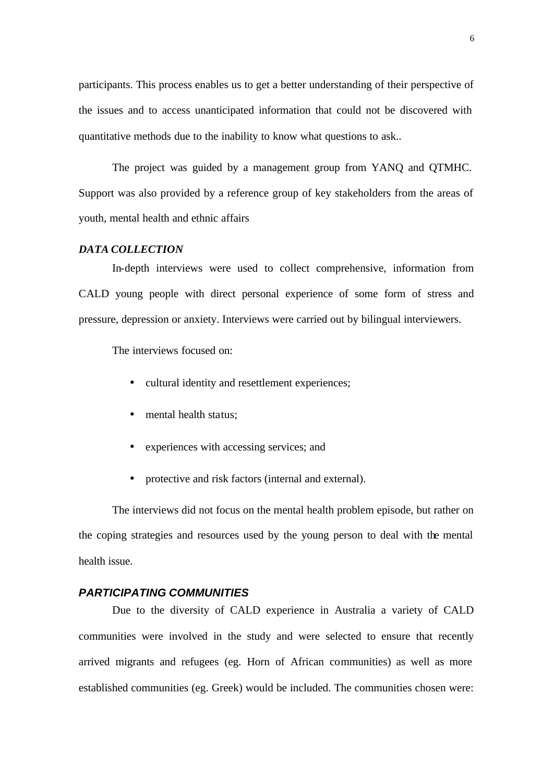participants. This process enables us to get a better understanding of their perspective of the issues and to access unanticipated information that could not be discovered with quantitative methods due to the inability to know what questions to ask..

The project was guided by a management group from YANQ and QTMHC. Support was also provided by a reference group of key stakeholders from the areas of youth, mental health and ethnic affairs

## *DATA COLLECTION*

In-depth interviews were used to collect comprehensive, information from CALD young people with direct personal experience of some form of stress and pressure, depression or anxiety. Interviews were carried out by bilingual interviewers.

The interviews focused on:

- cultural identity and resettlement experiences;
- mental health status:
- experiences with accessing services; and
- protective and risk factors (internal and external).

The interviews did not focus on the mental health problem episode, but rather on the coping strategies and resources used by the young person to deal with the mental health issue.

# *PARTICIPATING COMMUNITIES*

Due to the diversity of CALD experience in Australia a variety of CALD communities were involved in the study and were selected to ensure that recently arrived migrants and refugees (eg. Horn of African communities) as well as more established communities (eg. Greek) would be included. The communities chosen were: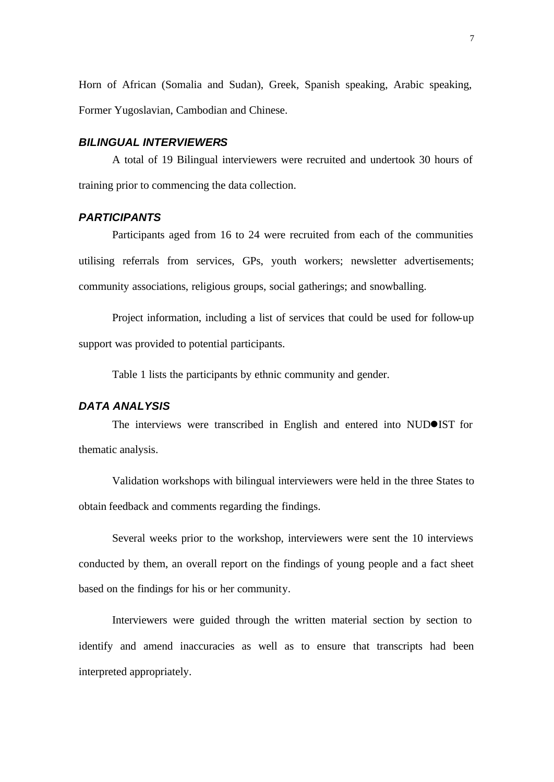Horn of African (Somalia and Sudan), Greek, Spanish speaking, Arabic speaking, Former Yugoslavian, Cambodian and Chinese.

### *BILINGUAL INTERVIEWERS*

A total of 19 Bilingual interviewers were recruited and undertook 30 hours of training prior to commencing the data collection.

## *PARTICIPANTS*

Participants aged from 16 to 24 were recruited from each of the communities utilising referrals from services, GPs, youth workers; newsletter advertisements; community associations, religious groups, social gatherings; and snowballing.

Project information, including a list of services that could be used for follow-up support was provided to potential participants.

Table 1 lists the participants by ethnic community and gender.

# *DATA ANALYSIS*

The interviews were transcribed in English and entered into  $NUD<sup>o</sup>IST$  for thematic analysis.

Validation workshops with bilingual interviewers were held in the three States to obtain feedback and comments regarding the findings.

Several weeks prior to the workshop, interviewers were sent the 10 interviews conducted by them, an overall report on the findings of young people and a fact sheet based on the findings for his or her community.

Interviewers were guided through the written material section by section to identify and amend inaccuracies as well as to ensure that transcripts had been interpreted appropriately.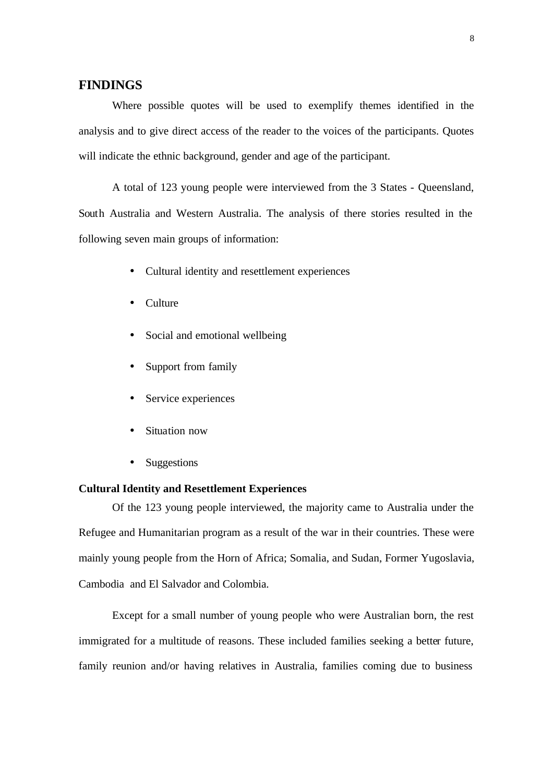## **FINDINGS**

Where possible quotes will be used to exemplify themes identified in the analysis and to give direct access of the reader to the voices of the participants. Quotes will indicate the ethnic background, gender and age of the participant.

A total of 123 young people were interviewed from the 3 States - Queensland, South Australia and Western Australia. The analysis of there stories resulted in the following seven main groups of information:

- Cultural identity and resettlement experiences
- Culture
- Social and emotional wellbeing
- Support from family
- Service experiences
- Situation now
- Suggestions

## **Cultural Identity and Resettlement Experiences**

Of the 123 young people interviewed, the majority came to Australia under the Refugee and Humanitarian program as a result of the war in their countries. These were mainly young people from the Horn of Africa; Somalia, and Sudan, Former Yugoslavia, Cambodia and El Salvador and Colombia.

Except for a small number of young people who were Australian born, the rest immigrated for a multitude of reasons. These included families seeking a better future, family reunion and/or having relatives in Australia, families coming due to business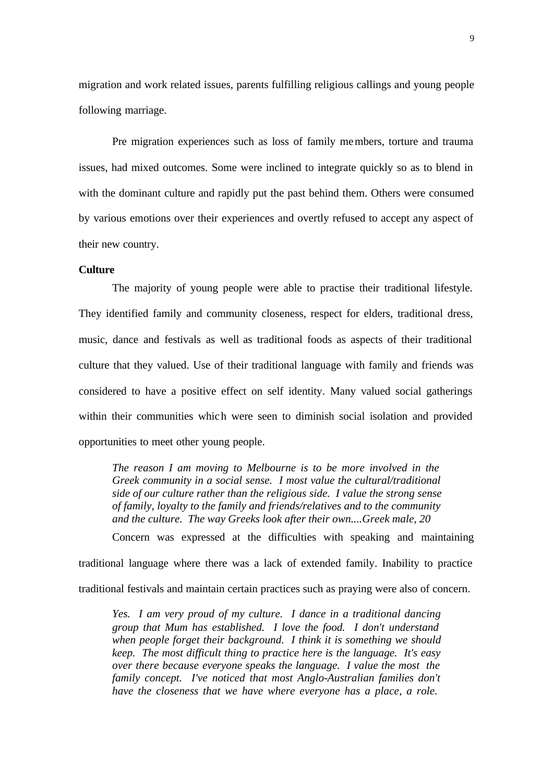migration and work related issues, parents fulfilling religious callings and young people following marriage.

Pre migration experiences such as loss of family members, torture and trauma issues, had mixed outcomes. Some were inclined to integrate quickly so as to blend in with the dominant culture and rapidly put the past behind them. Others were consumed by various emotions over their experiences and overtly refused to accept any aspect of their new country.

#### **Culture**

The majority of young people were able to practise their traditional lifestyle. They identified family and community closeness, respect for elders, traditional dress, music, dance and festivals as well as traditional foods as aspects of their traditional culture that they valued. Use of their traditional language with family and friends was considered to have a positive effect on self identity. Many valued social gatherings within their communities which were seen to diminish social isolation and provided opportunities to meet other young people.

*The reason I am moving to Melbourne is to be more involved in the Greek community in a social sense. I most value the cultural/traditional side of our culture rather than the religious side. I value the strong sense of family, loyalty to the family and friends/relatives and to the community and the culture. The way Greeks look after their own....Greek male, 20*

Concern was expressed at the difficulties with speaking and maintaining

traditional language where there was a lack of extended family. Inability to practice

traditional festivals and maintain certain practices such as praying were also of concern.

*Yes. I am very proud of my culture. I dance in a traditional dancing group that Mum has established. I love the food. I don't understand when people forget their background. I think it is something we should keep. The most difficult thing to practice here is the language. It's easy over there because everyone speaks the language. I value the most the family concept. I've noticed that most Anglo-Australian families don't have the closeness that we have where everyone has a place, a role.*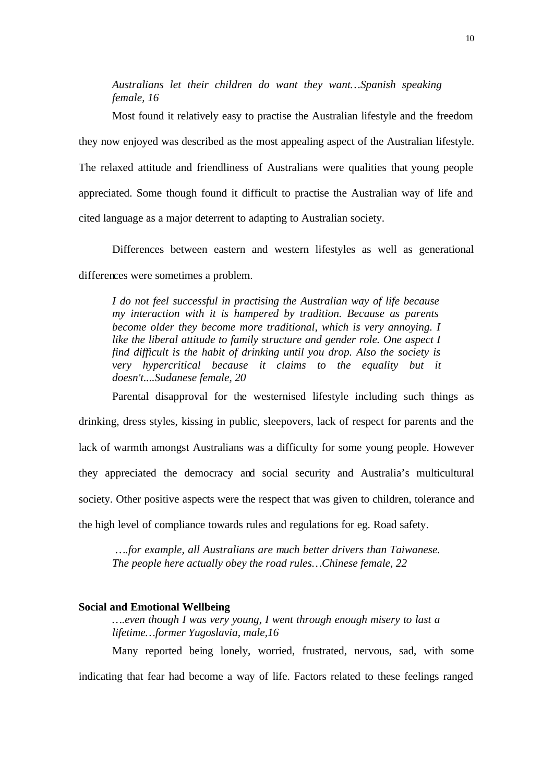*Australians let their children do want they want…Spanish speaking female, 16*

Most found it relatively easy to practise the Australian lifestyle and the freedom they now enjoyed was described as the most appealing aspect of the Australian lifestyle. The relaxed attitude and friendliness of Australians were qualities that young people appreciated. Some though found it difficult to practise the Australian way of life and cited language as a major deterrent to adapting to Australian society.

Differences between eastern and western lifestyles as well as generational differences were sometimes a problem.

*I do not feel successful in practising the Australian way of life because my interaction with it is hampered by tradition. Because as parents become older they become more traditional, which is very annoying. I like the liberal attitude to family structure and gender role. One aspect I find difficult is the habit of drinking until you drop. Also the society is very hypercritical because it claims to the equality but it doesn't....Sudanese female, 20*

Parental disapproval for the westernised lifestyle including such things as drinking, dress styles, kissing in public, sleepovers, lack of respect for parents and the lack of warmth amongst Australians was a difficulty for some young people. However they appreciated the democracy and social security and Australia's multicultural society. Other positive aspects were the respect that was given to children, tolerance and the high level of compliance towards rules and regulations for eg. Road safety.

 *….for example, all Australians are much better drivers than Taiwanese. The people here actually obey the road rules…Chinese female, 22*

#### **Social and Emotional Wellbeing**

*….even though I was very young, I went through enough misery to last a lifetime…former Yugoslavia, male,16*

Many reported being lonely, worried, frustrated, nervous, sad, with some indicating that fear had become a way of life. Factors related to these feelings ranged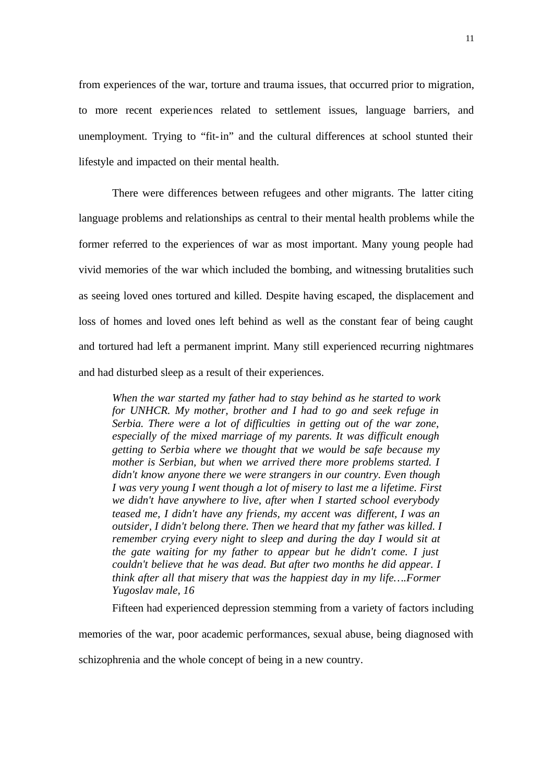from experiences of the war, torture and trauma issues, that occurred prior to migration, to more recent experiences related to settlement issues, language barriers, and unemployment. Trying to "fit-in" and the cultural differences at school stunted their lifestyle and impacted on their mental health.

There were differences between refugees and other migrants. The latter citing language problems and relationships as central to their mental health problems while the former referred to the experiences of war as most important. Many young people had vivid memories of the war which included the bombing, and witnessing brutalities such as seeing loved ones tortured and killed. Despite having escaped, the displacement and loss of homes and loved ones left behind as well as the constant fear of being caught and tortured had left a permanent imprint. Many still experienced recurring nightmares and had disturbed sleep as a result of their experiences.

*When the war started my father had to stay behind as he started to work for UNHCR. My mother, brother and I had to go and seek refuge in Serbia. There were a lot of difficulties in getting out of the war zone, especially of the mixed marriage of my parents. It was difficult enough getting to Serbia where we thought that we would be safe because my mother is Serbian, but when we arrived there more problems started. I didn't know anyone there we were strangers in our country. Even though I was very young I went though a lot of misery to last me a lifetime. First we didn't have anywhere to live, after when I started school everybody teased me, I didn't have any friends, my accent was different, I was an outsider, I didn't belong there. Then we heard that my father was killed. I remember crying every night to sleep and during the day I would sit at the gate waiting for my father to appear but he didn't come. I just couldn't believe that he was dead. But after two months he did appear. I think after all that misery that was the happiest day in my life….Former Yugoslav male, 16*

Fifteen had experienced depression stemming from a variety of factors including

memories of the war, poor academic performances, sexual abuse, being diagnosed with

schizophrenia and the whole concept of being in a new country.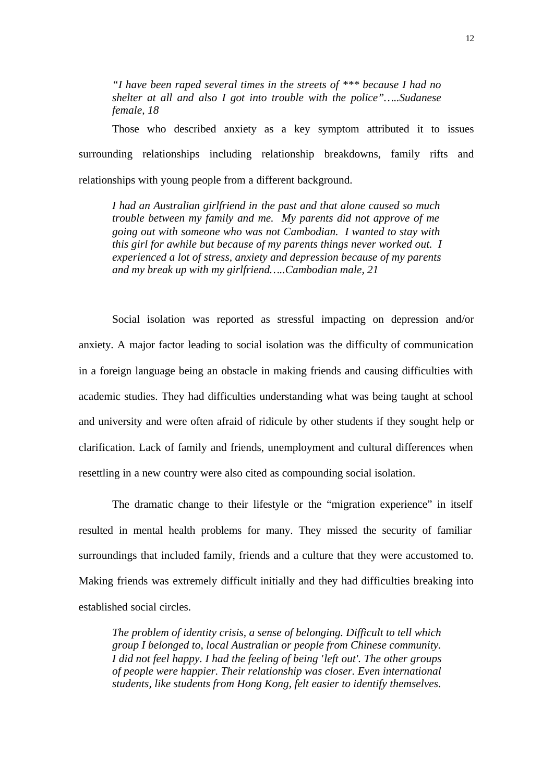*"I have been raped several times in the streets of \*\*\* because I had no shelter at all and also I got into trouble with the police"…..Sudanese female, 18*

Those who described anxiety as a key symptom attributed it to issues surrounding relationships including relationship breakdowns, family rifts and relationships with young people from a different background.

*I had an Australian girlfriend in the past and that alone caused so much trouble between my family and me. My parents did not approve of me going out with someone who was not Cambodian. I wanted to stay with this girl for awhile but because of my parents things never worked out. I experienced a lot of stress, anxiety and depression because of my parents and my break up with my girlfriend…..Cambodian male, 21*

Social isolation was reported as stressful impacting on depression and/or anxiety. A major factor leading to social isolation was the difficulty of communication in a foreign language being an obstacle in making friends and causing difficulties with academic studies. They had difficulties understanding what was being taught at school and university and were often afraid of ridicule by other students if they sought help or clarification. Lack of family and friends, unemployment and cultural differences when resettling in a new country were also cited as compounding social isolation.

The dramatic change to their lifestyle or the "migration experience" in itself resulted in mental health problems for many. They missed the security of familiar surroundings that included family, friends and a culture that they were accustomed to. Making friends was extremely difficult initially and they had difficulties breaking into established social circles.

*The problem of identity crisis, a sense of belonging. Difficult to tell which group I belonged to, local Australian or people from Chinese community. I did not feel happy. I had the feeling of being 'left out'. The other groups of people were happier. Their relationship was closer. Even international students, like students from Hong Kong, felt easier to identify themselves.*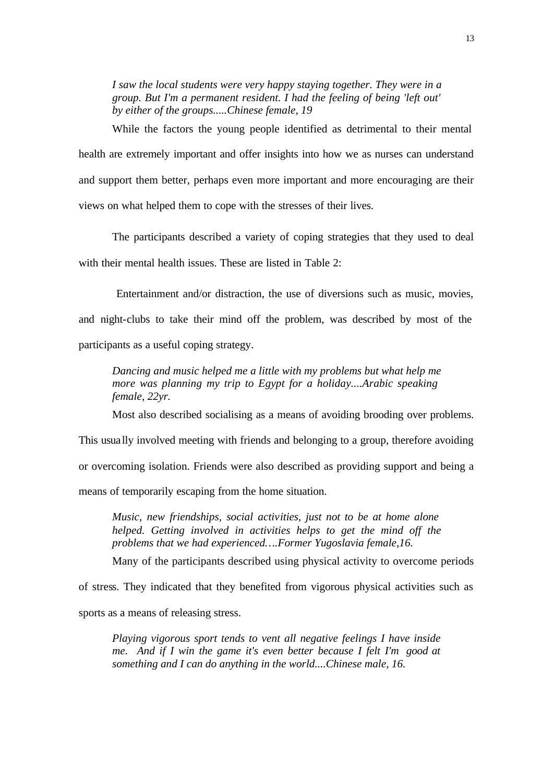*I saw the local students were very happy staying together. They were in a group. But I'm a permanent resident. I had the feeling of being 'left out' by either of the groups.....Chinese female, 19*

While the factors the young people identified as detrimental to their mental health are extremely important and offer insights into how we as nurses can understand and support them better, perhaps even more important and more encouraging are their views on what helped them to cope with the stresses of their lives.

The participants described a variety of coping strategies that they used to deal with their mental health issues. These are listed in Table 2:

 Entertainment and/or distraction, the use of diversions such as music, movies, and night-clubs to take their mind off the problem, was described by most of the participants as a useful coping strategy.

*Dancing and music helped me a little with my problems but what help me more was planning my trip to Egypt for a holiday....Arabic speaking female, 22yr.* 

Most also described socialising as a means of avoiding brooding over problems.

This usually involved meeting with friends and belonging to a group, therefore avoiding

or overcoming isolation. Friends were also described as providing support and being a

means of temporarily escaping from the home situation.

*Music, new friendships, social activities, just not to be at home alone helped. Getting involved in activities helps to get the mind off the problems that we had experienced….Former Yugoslavia female,16.* 

Many of the participants described using physical activity to overcome periods

of stress. They indicated that they benefited from vigorous physical activities such as

sports as a means of releasing stress.

*Playing vigorous sport tends to vent all negative feelings I have inside me. And if I win the game it's even better because I felt I'm good at something and I can do anything in the world....Chinese male, 16.*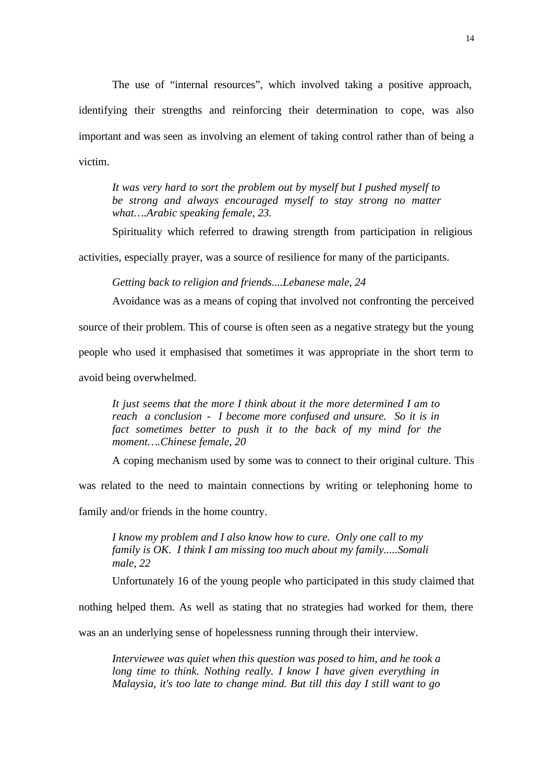The use of "internal resources", which involved taking a positive approach, identifying their strengths and reinforcing their determination to cope, was also important and was seen as involving an element of taking control rather than of being a victim.

*It was very hard to sort the problem out by myself but I pushed myself to be strong and always encouraged myself to stay strong no matter what….Arabic speaking female, 23.*

Spirituality which referred to drawing strength from participation in religious

activities, especially prayer, was a source of resilience for many of the participants.

*Getting back to religion and friends....Lebanese male, 24*

Avoidance was as a means of coping that involved not confronting the perceived

source of their problem. This of course is often seen as a negative strategy but the young

people who used it emphasised that sometimes it was appropriate in the short term to

avoid being overwhelmed.

*It just seems that the more I think about it the more determined I am to reach a conclusion - I become more confused and unsure. So it is in fact sometimes better to push it to the back of my mind for the moment….Chinese female, 20*

A coping mechanism used by some was to connect to their original culture. This

was related to the need to maintain connections by writing or telephoning home to

family and/or friends in the home country.

*I know my problem and I also know how to cure. Only one call to my family is OK. I think I am missing too much about my family.....Somali male, 22* 

Unfortunately 16 of the young people who participated in this study claimed that

nothing helped them. As well as stating that no strategies had worked for them, there

was an an underlying sense of hopelessness running through their interview.

*Interviewee was quiet when this question was posed to him, and he took a long time to think. Nothing really. I know I have given everything in Malaysia, it's too late to change mind. But till this day I still want to go*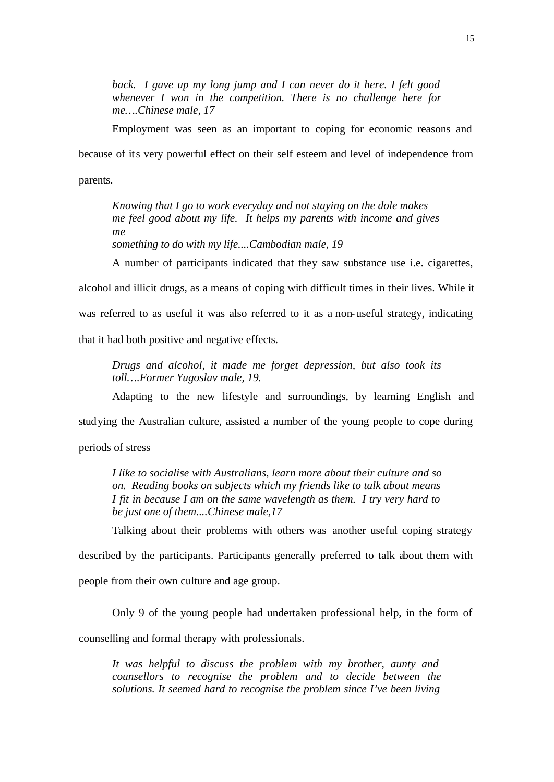*back. I gave up my long jump and I can never do it here. I felt good whenever I won in the competition. There is no challenge here for me….Chinese male, 17*

Employment was seen as an important to coping for economic reasons and because of its very powerful effect on their self esteem and level of independence from

parents.

*Knowing that I go to work everyday and not staying on the dole makes me feel good about my life. It helps my parents with income and gives me something to do with my life....Cambodian male, 19*

A number of participants indicated that they saw substance use i.e. cigarettes,

alcohol and illicit drugs, as a means of coping with difficult times in their lives. While it

was referred to as useful it was also referred to it as a non-useful strategy, indicating

that it had both positive and negative effects.

*Drugs and alcohol, it made me forget depression, but also took its toll….Former Yugoslav male, 19.*

Adapting to the new lifestyle and surroundings, by learning English and

studying the Australian culture, assisted a number of the young people to cope during

periods of stress

*I like to socialise with Australians, learn more about their culture and so on. Reading books on subjects which my friends like to talk about means I fit in because I am on the same wavelength as them. I try very hard to be just one of them....Chinese male,17*

Talking about their problems with others was another useful coping strategy

described by the participants. Participants generally preferred to talk about them with

people from their own culture and age group.

Only 9 of the young people had undertaken professional help, in the form of

counselling and formal therapy with professionals.

*It was helpful to discuss the problem with my brother, aunty and counsellors to recognise the problem and to decide between the solutions. It seemed hard to recognise the problem since I've been living*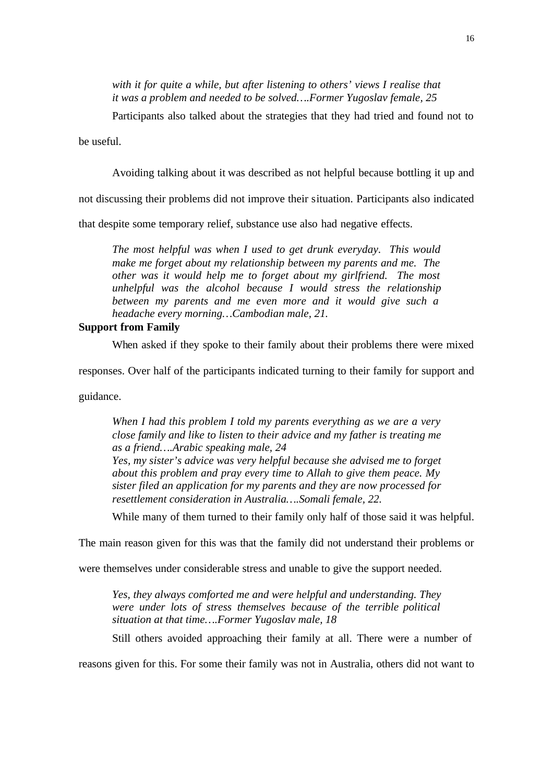*with it for quite a while, but after listening to others' views I realise that it was a problem and needed to be solved….Former Yugoslav female, 25*

Participants also talked about the strategies that they had tried and found not to

be useful.

Avoiding talking about it was described as not helpful because bottling it up and

not discussing their problems did not improve their situation. Participants also indicated

that despite some temporary relief, substance use also had negative effects.

*The most helpful was when I used to get drunk everyday. This would make me forget about my relationship between my parents and me. The other was it would help me to forget about my girlfriend. The most unhelpful was the alcohol because I would stress the relationship between my parents and me even more and it would give such a headache every morning…Cambodian male, 21.*

## **Support from Family**

When asked if they spoke to their family about their problems there were mixed

responses. Over half of the participants indicated turning to their family for support and

guidance.

*When I had this problem I told my parents everything as we are a very close family and like to listen to their advice and my father is treating me as a friend….Arabic speaking male, 24*

*Yes, my sister's advice was very helpful because she advised me to forget about this problem and pray every time to Allah to give them peace. My sister filed an application for my parents and they are now processed for resettlement consideration in Australia….Somali female, 22.*

While many of them turned to their family only half of those said it was helpful.

The main reason given for this was that the family did not understand their problems or

were themselves under considerable stress and unable to give the support needed.

*Yes, they always comforted me and were helpful and understanding. They were under lots of stress themselves because of the terrible political situation at that time….Former Yugoslav male, 18*

Still others avoided approaching their family at all. There were a number of

reasons given for this. For some their family was not in Australia, others did not want to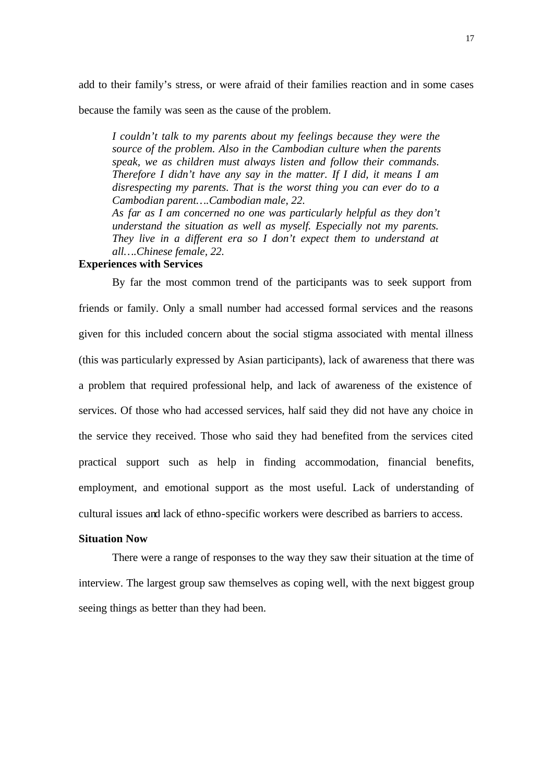add to their family's stress, or were afraid of their families reaction and in some cases

because the family was seen as the cause of the problem.

*I couldn't talk to my parents about my feelings because they were the source of the problem. Also in the Cambodian culture when the parents speak, we as children must always listen and follow their commands. Therefore I didn't have any say in the matter. If I did, it means I am disrespecting my parents. That is the worst thing you can ever do to a Cambodian parent….Cambodian male, 22.*

*As far as I am concerned no one was particularly helpful as they don't understand the situation as well as myself. Especially not my parents. They live in a different era so I don't expect them to understand at all….Chinese female, 22.*

## **Experiences with Services**

By far the most common trend of the participants was to seek support from friends or family. Only a small number had accessed formal services and the reasons given for this included concern about the social stigma associated with mental illness (this was particularly expressed by Asian participants), lack of awareness that there was a problem that required professional help, and lack of awareness of the existence of services. Of those who had accessed services, half said they did not have any choice in the service they received. Those who said they had benefited from the services cited practical support such as help in finding accommodation, financial benefits, employment, and emotional support as the most useful. Lack of understanding of cultural issues and lack of ethno-specific workers were described as barriers to access.

#### **Situation Now**

There were a range of responses to the way they saw their situation at the time of interview. The largest group saw themselves as coping well, with the next biggest group seeing things as better than they had been.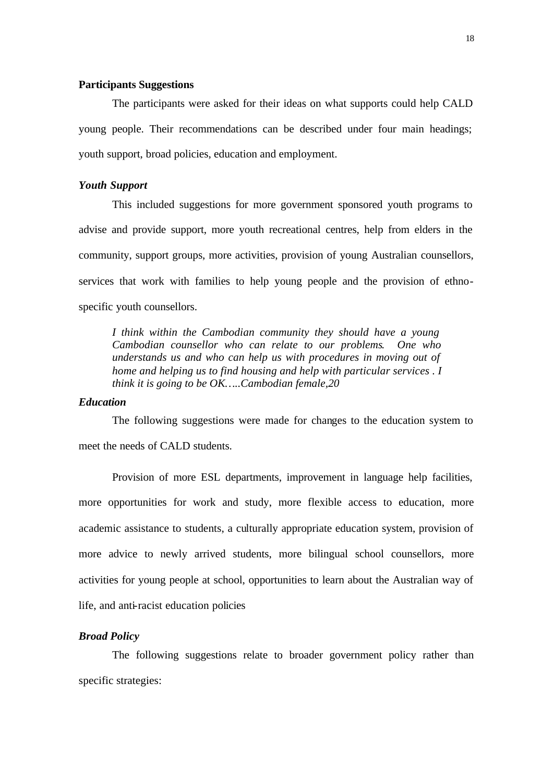### **Participants Suggestions**

The participants were asked for their ideas on what supports could help CALD young people. Their recommendations can be described under four main headings; youth support, broad policies, education and employment.

#### *Youth Support*

This included suggestions for more government sponsored youth programs to advise and provide support, more youth recreational centres, help from elders in the community, support groups, more activities, provision of young Australian counsellors, services that work with families to help young people and the provision of ethnospecific youth counsellors.

*I think within the Cambodian community they should have a young Cambodian counsellor who can relate to our problems. One who understands us and who can help us with procedures in moving out of home and helping us to find housing and help with particular services . I think it is going to be OK…..Cambodian female,20*

## *Education*

The following suggestions were made for changes to the education system to meet the needs of CALD students.

Provision of more ESL departments, improvement in language help facilities, more opportunities for work and study, more flexible access to education, more academic assistance to students, a culturally appropriate education system, provision of more advice to newly arrived students, more bilingual school counsellors, more activities for young people at school, opportunities to learn about the Australian way of life, and anti-racist education policies

### *Broad Policy*

The following suggestions relate to broader government policy rather than specific strategies: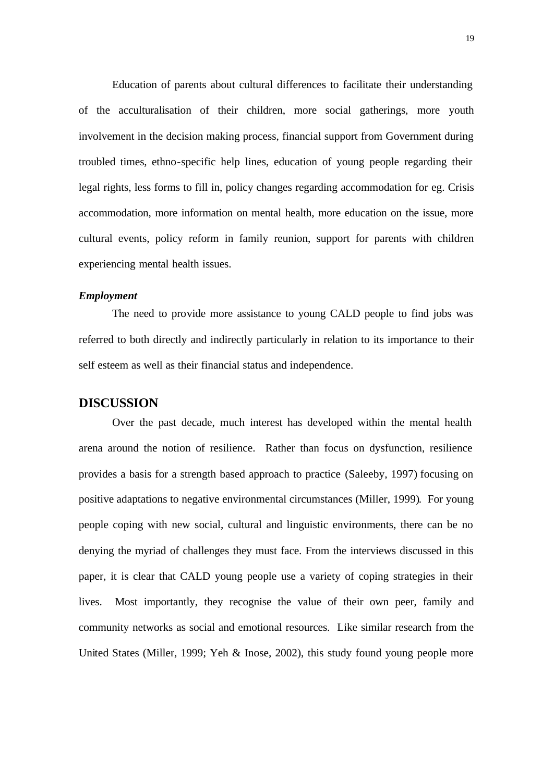Education of parents about cultural differences to facilitate their understanding of the acculturalisation of their children, more social gatherings, more youth involvement in the decision making process, financial support from Government during troubled times, ethno-specific help lines, education of young people regarding their legal rights, less forms to fill in, policy changes regarding accommodation for eg. Crisis accommodation, more information on mental health, more education on the issue, more cultural events, policy reform in family reunion, support for parents with children experiencing mental health issues.

#### *Employment*

The need to provide more assistance to young CALD people to find jobs was referred to both directly and indirectly particularly in relation to its importance to their self esteem as well as their financial status and independence.

# **DISCUSSION**

Over the past decade, much interest has developed within the mental health arena around the notion of resilience. Rather than focus on dysfunction, resilience provides a basis for a strength based approach to practice (Saleeby, 1997) focusing on positive adaptations to negative environmental circumstances (Miller, 1999). For young people coping with new social, cultural and linguistic environments, there can be no denying the myriad of challenges they must face. From the interviews discussed in this paper, it is clear that CALD young people use a variety of coping strategies in their lives. Most importantly, they recognise the value of their own peer, family and community networks as social and emotional resources. Like similar research from the United States (Miller, 1999; Yeh & Inose, 2002), this study found young people more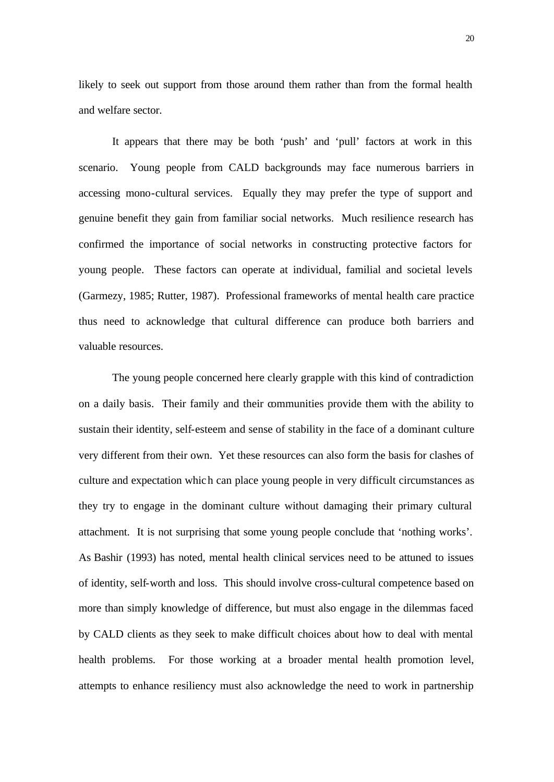likely to seek out support from those around them rather than from the formal health and welfare sector.

It appears that there may be both 'push' and 'pull' factors at work in this scenario. Young people from CALD backgrounds may face numerous barriers in accessing mono-cultural services. Equally they may prefer the type of support and genuine benefit they gain from familiar social networks. Much resilience research has confirmed the importance of social networks in constructing protective factors for young people. These factors can operate at individual, familial and societal levels (Garmezy, 1985; Rutter, 1987). Professional frameworks of mental health care practice thus need to acknowledge that cultural difference can produce both barriers and valuable resources.

The young people concerned here clearly grapple with this kind of contradiction on a daily basis. Their family and their communities provide them with the ability to sustain their identity, self-esteem and sense of stability in the face of a dominant culture very different from their own. Yet these resources can also form the basis for clashes of culture and expectation which can place young people in very difficult circumstances as they try to engage in the dominant culture without damaging their primary cultural attachment. It is not surprising that some young people conclude that 'nothing works'. As Bashir (1993) has noted, mental health clinical services need to be attuned to issues of identity, self-worth and loss. This should involve cross-cultural competence based on more than simply knowledge of difference, but must also engage in the dilemmas faced by CALD clients as they seek to make difficult choices about how to deal with mental health problems. For those working at a broader mental health promotion level, attempts to enhance resiliency must also acknowledge the need to work in partnership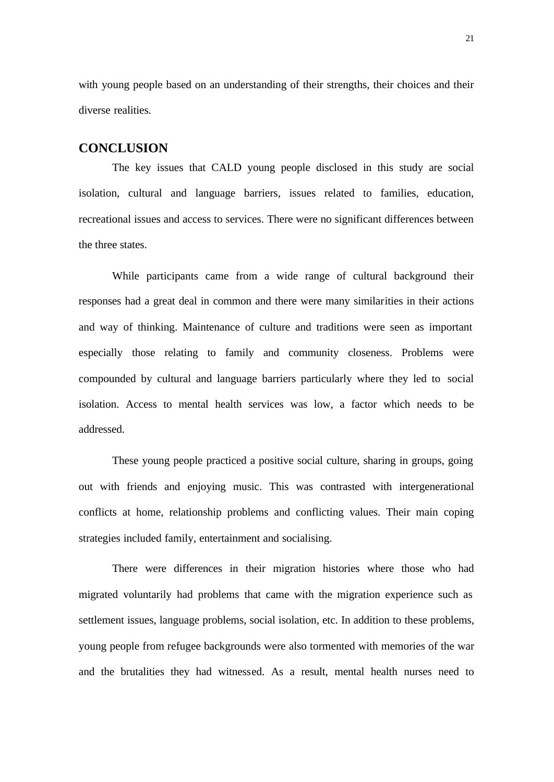with young people based on an understanding of their strengths, their choices and their diverse realities.

# **CONCLUSION**

The key issues that CALD young people disclosed in this study are social isolation, cultural and language barriers, issues related to families, education, recreational issues and access to services. There were no significant differences between the three states.

While participants came from a wide range of cultural background their responses had a great deal in common and there were many similarities in their actions and way of thinking. Maintenance of culture and traditions were seen as important especially those relating to family and community closeness. Problems were compounded by cultural and language barriers particularly where they led to social isolation. Access to mental health services was low, a factor which needs to be addressed.

These young people practiced a positive social culture, sharing in groups, going out with friends and enjoying music. This was contrasted with intergenerational conflicts at home, relationship problems and conflicting values. Their main coping strategies included family, entertainment and socialising.

There were differences in their migration histories where those who had migrated voluntarily had problems that came with the migration experience such as settlement issues, language problems, social isolation, etc. In addition to these problems, young people from refugee backgrounds were also tormented with memories of the war and the brutalities they had witnessed. As a result, mental health nurses need to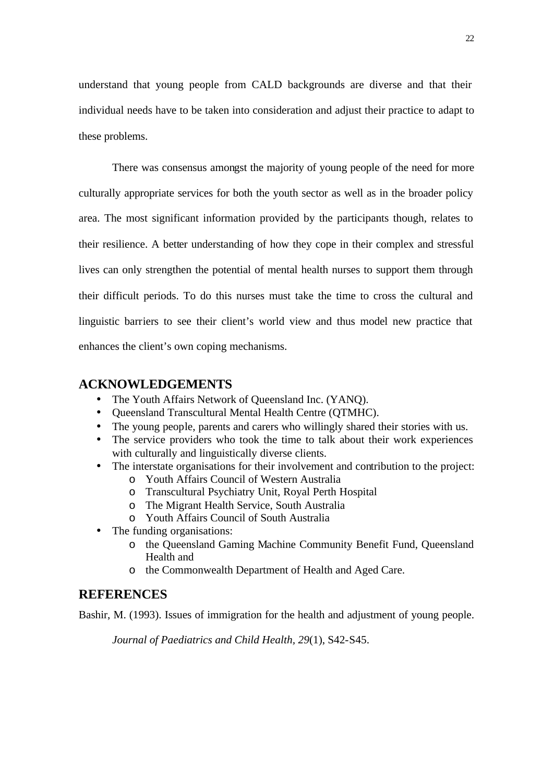understand that young people from CALD backgrounds are diverse and that their individual needs have to be taken into consideration and adjust their practice to adapt to these problems.

There was consensus amongst the majority of young people of the need for more culturally appropriate services for both the youth sector as well as in the broader policy area. The most significant information provided by the participants though, relates to their resilience. A better understanding of how they cope in their complex and stressful lives can only strengthen the potential of mental health nurses to support them through their difficult periods. To do this nurses must take the time to cross the cultural and linguistic barriers to see their client's world view and thus model new practice that enhances the client's own coping mechanisms.

# **ACKNOWLEDGEMENTS**

- The Youth Affairs Network of Queensland Inc. (YANQ).
- Queensland Transcultural Mental Health Centre (QTMHC).
- The young people, parents and carers who willingly shared their stories with us.
- The service providers who took the time to talk about their work experiences with culturally and linguistically diverse clients.
- The interstate organisations for their involvement and contribution to the project:
	- o Youth Affairs Council of Western Australia
	- o Transcultural Psychiatry Unit, Royal Perth Hospital
	- o The Migrant Health Service, South Australia
	- o Youth Affairs Council of South Australia
- The funding organisations:
	- o the Queensland Gaming Machine Community Benefit Fund, Queensland Health and
	- o the Commonwealth Department of Health and Aged Care.

# **REFERENCES**

Bashir, M. (1993). Issues of immigration for the health and adjustment of young people.

*Journal of Paediatrics and Child Health, 29*(1), S42-S45.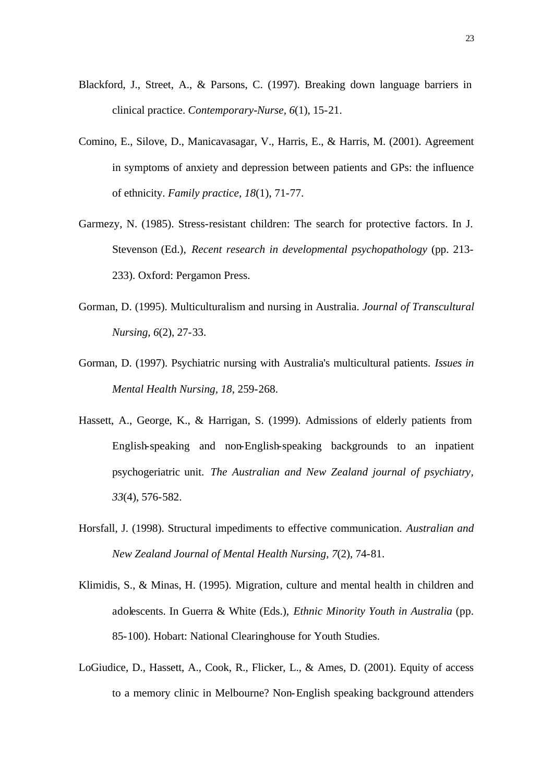- Blackford, J., Street, A., & Parsons, C. (1997). Breaking down language barriers in clinical practice. *Contemporary-Nurse, 6*(1), 15-21.
- Comino, E., Silove, D., Manicavasagar, V., Harris, E., & Harris, M. (2001). Agreement in symptoms of anxiety and depression between patients and GPs: the influence of ethnicity. *Family practice, 18*(1), 71-77.
- Garmezy, N. (1985). Stress-resistant children: The search for protective factors. In J. Stevenson (Ed.), *Recent research in developmental psychopathology* (pp. 213- 233). Oxford: Pergamon Press.
- Gorman, D. (1995). Multiculturalism and nursing in Australia. *Journal of Transcultural Nursing, 6*(2), 27-33.
- Gorman, D. (1997). Psychiatric nursing with Australia's multicultural patients. *Issues in Mental Health Nursing, 18*, 259-268.
- Hassett, A., George, K., & Harrigan, S. (1999). Admissions of elderly patients from English-speaking and non-English-speaking backgrounds to an inpatient psychogeriatric unit. *The Australian and New Zealand journal of psychiatry, 33*(4), 576-582.
- Horsfall, J. (1998). Structural impediments to effective communication. *Australian and New Zealand Journal of Mental Health Nursing, 7*(2), 74-81.
- Klimidis, S., & Minas, H. (1995). Migration, culture and mental health in children and adolescents. In Guerra & White (Eds.), *Ethnic Minority Youth in Australia* (pp. 85-100). Hobart: National Clearinghouse for Youth Studies.
- LoGiudice, D., Hassett, A., Cook, R., Flicker, L., & Ames, D. (2001). Equity of access to a memory clinic in Melbourne? Non-English speaking background attenders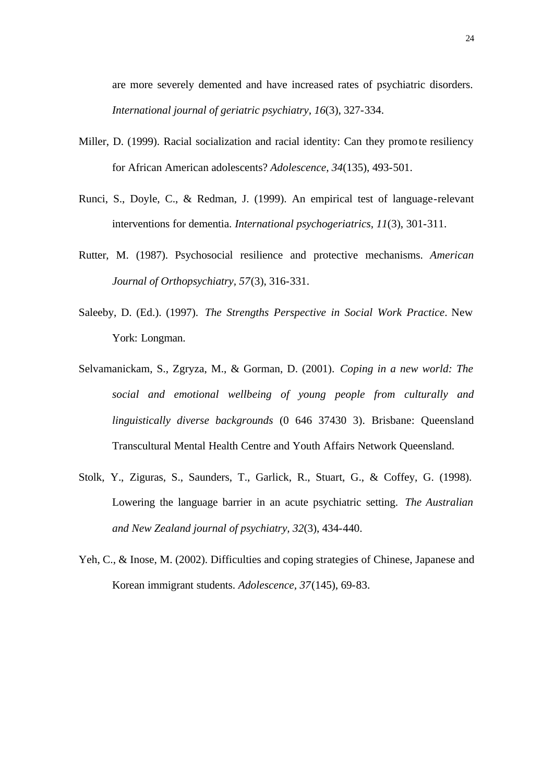are more severely demented and have increased rates of psychiatric disorders. *International journal of geriatric psychiatry, 16*(3), 327-334.

- Miller, D. (1999). Racial socialization and racial identity: Can they promote resiliency for African American adolescents? *Adolescence, 34*(135), 493-501.
- Runci, S., Doyle, C., & Redman, J. (1999). An empirical test of language-relevant interventions for dementia. *International psychogeriatrics, 11*(3), 301-311.
- Rutter, M. (1987). Psychosocial resilience and protective mechanisms. *American Journal of Orthopsychiatry, 57*(3), 316-331.
- Saleeby, D. (Ed.). (1997). *The Strengths Perspective in Social Work Practice*. New York: Longman.
- Selvamanickam, S., Zgryza, M., & Gorman, D. (2001). *Coping in a new world: The social and emotional wellbeing of young people from culturally and linguistically diverse backgrounds* (0 646 37430 3). Brisbane: Queensland Transcultural Mental Health Centre and Youth Affairs Network Queensland.
- Stolk, Y., Ziguras, S., Saunders, T., Garlick, R., Stuart, G., & Coffey, G. (1998). Lowering the language barrier in an acute psychiatric setting. *The Australian and New Zealand journal of psychiatry, 32*(3), 434-440.
- Yeh, C., & Inose, M. (2002). Difficulties and coping strategies of Chinese, Japanese and Korean immigrant students. *Adolescence, 37*(145), 69-83.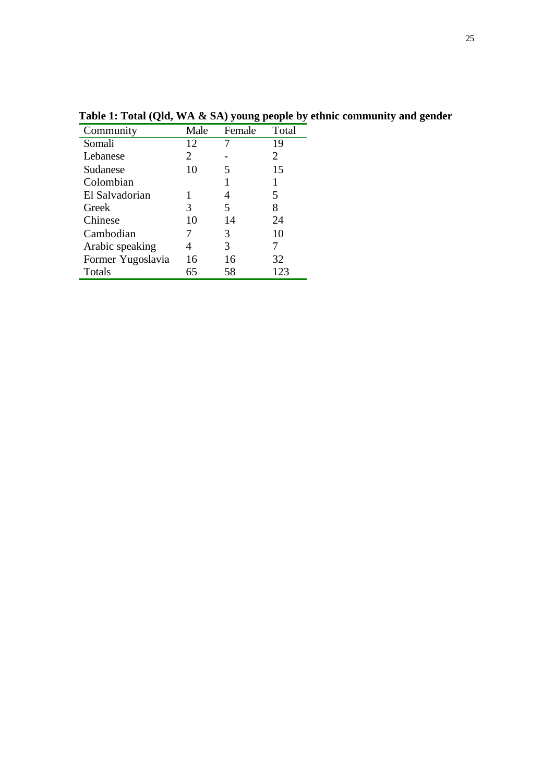| Community         | Male | Female | Total |
|-------------------|------|--------|-------|
| Somali            | 12   |        | 19    |
| Lebanese          | 2    |        | 2     |
| Sudanese          | 10   | 5      | 15    |
| Colombian         |      |        |       |
| El Salvadorian    |      |        | 5     |
| Greek             | 3    | 5      | 8     |
| Chinese           | 10   | 14     | 24    |
| Cambodian         |      | 3      | 10    |
| Arabic speaking   | 4    | 3      |       |
| Former Yugoslavia | 16   | 16     | 32    |
| Totals            |      | 58     | 123   |

**Table 1: Total (Qld, WA & SA) young people by ethnic community and gender**